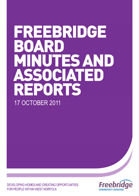# FREEBRIDGE BOAR MINUTES AND SSOCIATED REPORTS 17 OCTOBER 2011

DEVELOPING HOMES AND CREATING OPPORTUNITIES FOR PEOPLE WITHIN WEST NORFOLK

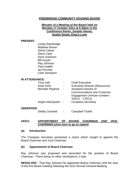### **FREEBRIDGE COMMUNITY HOUSING BOARD**

#### **Minutes of a Meeting of the Board held on Monday 17 October 2011 at 6.30pm in the Conference Room, Juniper House, Austin Street, King's Lynn**

#### **PRESENT:**

|                | Lesley Bambridge<br><b>Matthew Brown</b><br><b>Sylvia Calver</b><br><b>Steve Clark</b><br>Irene Gammon<br><b>Bill Guyan</b><br>Ray Johnson<br>Paul Leader<br>lan Pinches<br>Colin Sampson |                                                                                                                      |
|----------------|-------------------------------------------------------------------------------------------------------------------------------------------------------------------------------------------|----------------------------------------------------------------------------------------------------------------------|
| IN ATTENDANCE: |                                                                                                                                                                                           |                                                                                                                      |
|                | <b>Tony Hall</b>                                                                                                                                                                          | <b>Chief Executive</b>                                                                                               |
|                | Sean Kent                                                                                                                                                                                 | Executive Director (Resources)                                                                                       |
|                | Michelle Playford                                                                                                                                                                         | <b>Assistant Director of</b><br><b>Communications and Customer</b><br>Engagement (minute numbers<br>163/11 - 170/11) |
|                | Angus MacQueen                                                                                                                                                                            | <b>Company Secretary</b>                                                                                             |

#### **OBSERVER:**

Debby Ounsted - Campbell Tickell

#### **163/11 APPOINTMENT OF BOARD CHAIRMAN AND VICE-CHAIRMAN [\(click here to go to report\)](#page-10-0)**

#### **(a) Introduction**

The Company Secretary presented a report which sought to appoint the Board Chairman and Vice-Chairman.

#### **(b) Appointment of Board Chairman**

Ray Johnson was proposed and seconded for the position of Board Chairman. There being no other nominations, it was

**RESOLVED:** That Ray Johnson be appointed Board Chairman until the start of the first Board meeting following the 2012 Annual General Meeting.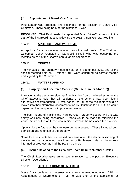### **(c) Appointment of Board Vice-Chairman**

Paul Leader was proposed and seconded for the position of Board Vice-Chairman. There being no other nominations, it was

**RESOLVED:** That Paul Leader be appointed Board Vice-Chairman until the start of the first Board meeting following the 2012 Annual General Meeting.

#### **164/11 APOLOGIES AND WELCOME**

An apology for absence was received from Michael Jervis. The Chairman welcomed Debby Ounsted of Campbell Tickell, who was observing the meeting as part of the Board's annual appraisal process.

#### **165/11 MINUTES**

The minutes of the ordinary meeting held on 5 September 2011 and of the special meeting held on 3 October 2011 were confirmed as correct records and signed by the Chairman.

#### **166/11 MATTERS ARISING**

#### **(a) Harpley Court Sheltered Scheme (Minute Number 144/11(b))**

In relation to the decommissioning of the Harpley Court sheltered scheme, the Chief Executive said that all residents of the scheme had been found alternative accommodation. It was hoped that all of the residents would be moved into their alternative accommodation by Christmas 2011, but this would depend on the completion of improvement works.

The best means of making the Harpley Court property secure while it was empty was now being considered. Efforts would be made to minimise the visual impact of this on those local residents whose homes faced the property.

Options for the future of the site were being assessed. These included both demolition and retention of the property.

Some local residents had expressed concerns about the decommissioning of the site and had contacted their Member of Parliament. He had been kept informed of progress, as had the Parish Council.

#### **(b) Issues Relating to the Executive Team (Minute Number 162/11)**

The Chief Executive gave an update in relation to the post of Executive Director (Operations).

### **167/11 DECLARATIONS OF INTEREST**

Steve Clark declared an interest in the item at minute number 178/11 – Appointment of Shareholders – as he was one of the applicants for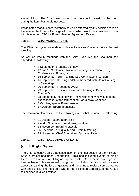shareholding. The Board was content that he should remain in the room during the item, but he did not vote.

It was noted that all board members could be affected by any decision to raise the level of the Loss of Earnings allowance, which would be considered under minute number 172/11 – Board Member Agreement Review.

#### **168/11 CHAIRMAN'S UPDATE**

The Chairman gave an update on his activities as Chairman since the last meeting.

As well as weekly meetings with the Chief Executive, the Chairman had attended the following:

- 8 September,  $e^2$  charity golf day
- 12 and 13 September, National Housing Federation (NHF) Conference in Birmingham
- 15 September, NHF Planning Sub-Committee in London
- 16 September, Housing update (Chartered Institute of Housing) in Cambridge
- 20 September, Freebridge AGM
- 23 September,  $e^2$  financial overview training in Bury St Edmund's
- 28 September, meeting with Tim Newenham, who would be the guest speaker at the forthcoming Board away weekend
- 3 October, special Board meeting
- 17 October, Board appraisals.

The Chairman also advised of the following events that he would be attending:

- 31 October, Board appraisals
- 4 and 5 November, Board away weekend
- 14 November, Board appraisals
- 25 November,  $e^2$  Equality and Diversity training
- 28 November, Chief Executive's Appraisal Panel.

### **169/11 CHIEF EXECUTIVE'S UPDATE**

#### **(a) Hillington Square**

The Chief Executive said that consultation on the final design for the Hillington Square project had been undertaken. This had included events at King's Lynn Town Hall and at Hillington Square itself. Good media coverage had been achieved. Issues raised during the consultation had included concerns about car parking, the loss of garages and the plans to replace some garages with shop units. The next step was for the Hillington Square Steering Group to consider detailed costings.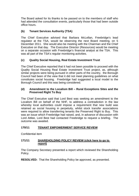The Board asked for its thanks to be passed on to the members of staff who had attended the consultation events, particularly those that had been outside office hours.

### **(b) Tenant Services Authority (TSA)**

The Chief Executive advised that Barbara McLellan, Freebridge's lead regulator at the TSA, would be observing the next Board meeting, on 5 December 2011. She would also be meeting with the Chairman and the Chief Executive on that day. The Executive Director (Resources) would be meeting on a separate occasion with Freebridge's financial analyst at the TSA. This was all part of the TSA's regular monitoring activities.

# **(c) Quality Social Housing, Real Estate Investment Trust**

The Chief Executive reported that it had not been possible to proceed with the Quality Social Housing Real Estate Investment Trust project, as, although similar projects were being pursued in other parts of the country, the Borough Council had been of the view that it did not meet planning guidelines on what constitutes social housing. Freebridge had suggested a local model to the Borough Council and this was being considered.

#### **(d) Amendment to the Localism Bill – Rural Exceptions Sites and the Preserved Right To Buy**

The Chief Executive said that Lord Best was seeking an amendment to the Localism Bill on behalf of the NHF, to address a contradiction in the law whereby local authorities could impose a requirement that new build was retained as social housing in perpetuity, whilst stock transfer associations were required to allow transferring tenants the Preserved Right to Buy. This was an issue which Freebridge had raised, and, in advance of discussion with Lord Attlee, Lord Best had contacted Freebridge to request a briefing. The outcome was awaited.

### **170/11 TENANT EMPOWERMENT SERVICE REVIEW**

Confidential item

### **171/11 [SHAREHOLDING POLICY REVIEW \(click here to go to](#page-13-0)  report)**

The Company Secretary presented a report which reviewed the Shareholding Policy.

**RESOLVED:** That the Shareholding Policy be approved, as presented.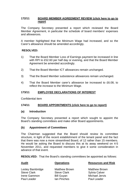#### **172/11 [BOARD MEMBER AGREEMENT REVIEW \(click here to go to](#page-18-0) report**

The Company Secretary presented a report which reviewed the Board Member Agreement, in particular the schedule of board members' expenses and allowances.

A member highlighted that the Minimum Wage had increased, and so the Carer's allowance should be amended accordingly.

### **RESOLVED:**

- 1) That the Board Member Loss of Earnings payment be increased in line with RPI to £52.60 per half day or evening, and that the Board Member Agreement be amended accordingly.
- 2) That the Board Member ICT allowances remain unchanged.
- 3) That the Board Member subsistence allowances remain unchanged.
- 4) That the Board Member carer's allowance be increased to £6.08, to reflect the increase to the Minimum Wage.

#### **173/11 EMPLOYEE DECLARATIONS OF INTEREST**

Confidential item

### **174/11 BOARD APPOINTMENTS [\(click here to go to report\)](#page-21-0)**

#### **(a) Introduction**

The Company Secretary presented a report which sought to appoint the Board's standing committees and make other Board appointments.

#### **(b) Appointment of Committees**

The Chairman suggested that the Board should review its committee structure, in light of the recent establishment of the tenant panel and the fact that there was now a more streamlined Board, of 12 rather than 15 members. He would be asking the Board to discuss this at its away weekend on 4-5 November 2011, and requested members to give it some consideration in advance of that event.

**RESOLVED:** That the Board's standing committees be appointed as follows:

| <b>Audit</b>       | <b>Operations</b>    | <b>Resources and Risk</b> |
|--------------------|----------------------|---------------------------|
| Lesley Bambridge   | <b>Matthew Brown</b> | <b>Matthew Brown</b>      |
| <b>Steve Clark</b> | <b>Steve Clark</b>   | <b>Sylvia Calver</b>      |
| Irene Gammon       | <b>Bill Guyan</b>    | <b>Michael Jervis</b>     |
| Paul Leader        | Ian Pinches          | Paul Leader               |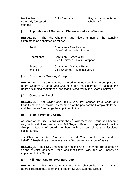Karen Sly (co-opted Chairman) member)

Ian Pinches Colin Sampson Ray Johnson (as Board

#### **(c) Appointment of Committee Chairmen and Vice-Chairmen**

**RESOLVED:** That the Chairmen and Vice-Chairmen of the standing committees be appointed as follows:

| Audit:                        | Chairman - Paul Leader<br>Vice-Chairman - Ian Pinches      |
|-------------------------------|------------------------------------------------------------|
| Operations:                   | Chairman - Steve Clark<br>Vice-Chairman - Colin Sampson    |
| <b>Resources</b><br>and Risk: | Chairman – Matthew Brown<br>Vice-Chairman - Michael Jervis |

#### **(d) Governance Working Group**

**RESOLVED:** That the Governance Working Group continue to comprise the Board Chairman, Board Vice-Chairman and the Chairman of each of the Board's standing committees, and that it is chaired by the Board Chairman.

#### **(e) Complaints Panel**

**RESOLVED:** That Sylvia Calver, Bill Guyan, Ray Johnson, Paul Leader and Colin Sampson be retained as members of the pool for the Complaints Panel, and that Lesley Bambridge be appointed to the pool.

### **(f) e2 Joint Members Group**

As some of the discussions within the  $e^2$  Joint Members Group had become very technical, Paul Leader and Bill Guyan offered to step down from the Group in favour of board members with directly relevant professional backgrounds.

The Chairman thanked Paul Leader and Bill Guyan for their hard work on behalf of Freebridge as members of the Group over a number of years.

**RESOLVED:** That Ray Johnson be retained as a Freebridge representative on the  $e^2$  Joint Members Group, and that Steve Clark and Ian Pinches be appointed to the Group.

### **(g) Hillington Square Steering Group**

**RESOLVED:** That Irene Gammon and Ray Johnson be retained as the Board's representatives on the Hillington Square Steering Group.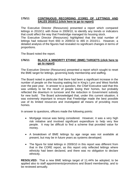#### **175/11 CONTINUOUS RECORDING (CORE) OF LETTINGS AND SALES 2010/11 [\(click here to go to report\)](#page-24-0)**

The Executive Director (Resources) presented a report which compared lettings in 2010/11 with those in 2009/10, to identify any trends or indicators that could affect the way that Freebridge managed its housing stock.

The Executive Director (Resources) highlighted that the total number of lettings had reduced from 693 in 2009/10 to 465 in 2010/11. However, a detailed analysis of the figures had revealed no significant changes in terms of proportions.

The Board noted the report.

#### **176/11 [BLACK & MINORITY ETHNIC \(BME\) TARGETS \(click here to](#page-26-0) go to report)**

The Executive Director (Resources) presented a report which sought to reset the BME target for lettings, governing body membership and staffing.

The Board noted in particular that there had been a significant increase in the number of people on the housing waiting list in King's Lynn and West Norfolk over the past year. In answer to a question, the Chief Executive said that this was unlikely to be the result of people losing their homes, but probably reflected the downturn in turnover and the reduction in Government subsidy for new build. The Board acknowledged that, under this current situation, it was extremely important to ensure that Freebridge made the best possible use of its limited resources and investigated all means of providing more homes.

In answer to questions, officers made the following points:

- Mortgage rescue was being considered. However, it was a very high risk initiative and involved significant expenditure to help very few people. It may be difficult to find a scheme that provided value for money.
- A breakdown of BME lettings by age range was not available at present, but may be in future years as systems developed.
- The figure for total lettings in 2009/10 in this report was different from that in the CORE report, as this report only reflected lettings where ethnicity had been declared, and there was no obligation to declare ethnicity.

**RESOLVED:** That a new BME lettings target of 11.44% be adopted, to be applied also to staff appointments/promotions and Board membership, and to be reviewed annually.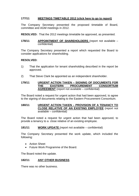#### **177/11 MEETINGS TIMETABLE 2012 [\(click here to go to report\)](#page-28-0)**

The Company Secretary presented the proposed timetable of Board, committee and AGM meetings in 2012.

**RESOLVED:** That the 2012 meetings timetable be approved, as presented.

**178/11 APPOINTMENT OF SHAREHOLDERS** (report not available – confidential)

The Company Secretary presented a report which requested the Board to consider applications for shareholding.

#### **RESOLVED:**

- 1) That the application for tenant shareholding described in the report be approved.
- 2) That Steve Clark be appointed as an independent shareholder.

#### **179/11 URGENT ACTION TAKEN – SIGNING OF DOCUMENTS FOR**  EASTERN PROCUREMENT CONSORTIUM **AGREEMENT** (report not available – confidential)

The Board noted a request for urgent action that had been approved, to agree to the signing of documents relating to the Eastern Procurement Consortium.

#### **180/11 URGENT ACTION TAKEN – PROVISION OF A TENANCY TO CLOSE RELATIVE OF AN EXISTING EMPLOYEE** (report not available – confidential)

The Board noted a request for urgent action that had been approved, to provide a tenancy to a close relative of an existing employee.

#### **181/11 WORK UPDATE** (report not available – confidential)

The Company Secretary presented the work update, which included the following:

- Action Sheet
- Future Work Programme of the Board.

The Board noted the update.

#### **182/11 ANY OTHER BUSINESS**

There was no other business.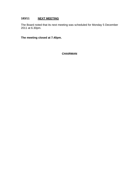### **183/11 NEXT MEETING**

The Board noted that its next meeting was scheduled for Monday 5 December 2011 at 6.30pm.

**The meeting closed at 7.40pm.** 

**CHAIRMAN**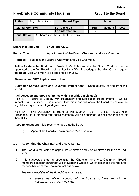# <span id="page-10-0"></span>**Freebridge Community Housing The Report to the Board**

| <b>Author</b>            |  | Angus MacQueen | <b>Report Type</b>                 | <b>Impact</b> |               |     |
|--------------------------|--|----------------|------------------------------------|---------------|---------------|-----|
| <b>Related Work Ref.</b> |  |                | <b>For Decision</b>                | <b>High</b>   | <b>Medium</b> | Low |
|                          |  |                | <b>For Information</b>             |               |               |     |
| <b>Consultation</b>      |  |                | All board members, Chief Executive |               |               |     |

#### **Board Meeting Date: 17 October 2011**

#### **Report Title: Appointment of the Board Chairman and Vice-Chairman**

**Purpose:** To appoint the Board's Chairman and Vice Chairman.

**Policy/Strategy Implications:** Freebridge's Rules require the Board Chairman to be appointed at the first Board meeting after the AGM. Freebridge's Standing Orders require the Board Vice-Chairman to be appointed annually.

**Financial and VFM Implications:** None

**Customer Care/Equality and Diversity Implications:** None directly arising from this report.

#### **Risk Assessment (cross-reference with Freebridge Risk Map):**

Risk 1.1 – Failure to Comply with Regulatory and Legislation Requirements – Critical Impact, High Likelihood. It is intended that this report will assist the Board to achieve the regulatory requirement of good governance.

Risk 1.4 – Skill Deficiency in Board or Management Team – Critical Impact, High Likelihood. It is intended that board members will be appointed to positions that best fit their skills.

**Recommendations:** It is recommended that the Board:

(i) Appoint the Board's Chairman and Vice-Chairman.

#### **1.0 Appointing the Chairman and Vice-Chairman**

- 1.1 The Board is requested to appoint its Chairman and Vice-Chairman for the ensuing year.
- 1.2 It is suggested that, in appointing the Chairman and Vice-Chairman, Board members consider paragraph 2.1 of Standing Order 5, which describes the role and responsibilities of the Chairman, set out below.

 *The responsibilities of the Board Chairman are to:* 

*a. ensure the efficient conduct of the Board's business and of the Association's general meetings;*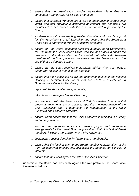- *b. ensure that the organisation provides appropriate role profiles and competency frameworks for all Board members;*
- *c. ensure that all Board Members are given the opportunity to express their views, and that appropriate standards of conduct and behaviour are maintained in accordance with the code of conduct approved by the Board;*
- *d. establish a constructive working relationship with, and provide support for, the Association's Chief Executive, and ensure that the Board as a whole acts in partnership with the Executive Directors;*
- *e. ensure that the Board delegates sufficient authority to its Committees, the Chairman, the Association's Chief Executive and others to enable the business of the Association to be carried out effectively between meetings of the Board; and also to ensure that the Board monitors the use of these delegated powers:*
- *f. ensure that the Board receives professional advice when it is needed, either from its staff or from external sources;*
- *g. ensure that the Association follows the recommendations of the National Housing Federation Code of Governance 2009 – "Excellence in Governance – Code for Members";*
- *h. represent the Association as appropriate;*
- *i. take decisions delegated to the Chairman;*
- *j. in consultation with the Resources and Risk Committee, to ensure that proper arrangements are in place to appraise the performance of the Chief Executive and to determine the remuneration of the Chief Executive and Executive Directors;*
- *k. ensure, when necessary, that the Chief Executive is replaced in a timely and orderly fashion;*
- *l. lead on the appraisal process to ensure proper and appropriate arrangements for the overall Board appraisal and that of individual Board members, including the Chairman and Vice-Chairman;*
- *m. implement a succession plan for future Board membership;*
- *n. ensure that the level of any agreed Board member remuneration results from an approved process that minimises the potential for conflicts of interest;*
- *o. ensure that the Board agrees the role of the Vice-Chairman.*
- 1.3 Furthermore, the Board has previously agreed the role profile of the Board Vice-Chairman as follows:
	- *a. To support the Chairman of the Board in his/her role.*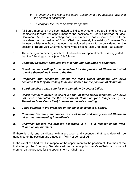- *b. To undertake the role of the Board Chairman in their absence, including the signing of documents.*
- *c. To carry out the Board Chairman's appraisal.*
- 1.4 All Board members have been asked to indicate whether they are intending to put themselves forward for appointment to the positions of Board Chairman or Vice-Chairman. At the time of writing, one Board member has indicated a wish to be considered for the position of Board Chairman, namely the existing Chairman Ray Johnson, whilst one Board member has indicated a wish to be considered for the position of Board Vice-Chairman, namely the existing Vice-Chairman Paul Leader.
- 1.5 There being a precedent, which resulted in effective appointments, it is suggested that the following process **(a – h)** is followed:
- *a. Company Secretary conducts the meeting until Chairman is appointed.*
- *b. Board members willing to be considered for the position of Chairman invited to make themselves known to the Board.*
- *c. Proposers and seconders invited for those Board members who have declared that they are willing to be considered for the position of Chairman.*
- *d. Board members each vote for one candidate by secret ballot.*
- *e. Board members invited to select a panel of three Board members who have not been nominated for the position of Chairman (one Independent, one Tenant and one Councillor) to oversee the vote counting.*
- *f. Votes counted in the presence of the panel selected at e. above.*
- *g. Company Secretary announces result of ballot and newly elected Chairman takes over the meeting immediately.*
- *h. Chairman repeats the process described in b f in respect of the Vice-Chairman appointment.*

If there is only one candidate with a proposer and seconder, that candidate will be appointed to the position and stages d – f will not be required.

In the event of a tied result in respect of the appointment to the position of Chairman at the first attempt, the Company Secretary will move to appoint the Vice-Chairman, who will then re-run the process for the appointment of Chairman.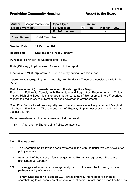<span id="page-13-0"></span>

| <b>Author</b>            |  | Angus MacQueen         | <b>Report Type</b>     |  | Impact      |               |     |
|--------------------------|--|------------------------|------------------------|--|-------------|---------------|-----|
| <b>Related Work Ref.</b> |  |                        | <b>For Decision</b>    |  | <b>High</b> | <b>Medium</b> | Low |
|                          |  |                        | <b>For Information</b> |  |             |               |     |
| <b>Consultation</b>      |  | <b>Chief Executive</b> |                        |  |             |               |     |

#### **Meeting Date: 17 October 2011**

#### **Report Title: Shareholding Policy Review**

**Purpose:** To review the Shareholding Policy.

**Policy/Strategy Implications:** As set out in the report.

**Finance and VFM Implications:** None directly arising from this report.

**Customer Care/Equality and Diversity Implications:** These are considered within the Policy.

#### **Risk Assessment (cross-reference with Freebridge Risk Map):**

Risk 1.1 – Failure to Comply with Regulatory and Legislation Requirements – Critical Impact, High Likelihood. It is intended that the contents of this report will help Freebridge to meet the regulatory requirement for good governance arrangements.

Risk 12 – Failure to address equality and diversity issues effectively – Impact Marginal, Likelihood Significant. The undertaking of Equality Impact Assessment will mitigate against this risk.

**Recommendations:** It is recommended that the Board:

(i) Approve the Shareholding Policy, as attached.

#### **1.0 Background**

- 1.1 The Shareholding Policy has been reviewed in line with the usual two-yearly cycle for policy reviews.
- 1.2 As a result of the review, a few changes to the Policy are suggested. These are highlighted at Appendix 1.
- 1.3 The suggested amendments are generally minor. However, the following two are perhaps worthy of some explanation:

**Tenant Shareholding (Section 3.1):** It was originally intended to re-advertise shareholding to all tenants on at least an annual basis. In fact, our practice has been to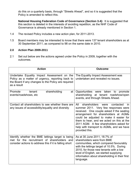do this on a quarterly basis, through "Streets Ahead", and so it is suggested that the Policy is amended to reflect this.

**National Housing Federation Code of Governance (Section 3.4):** It is suggested that this section is deleted in the interests of avoiding repetition, as the NHF Code of Governance is already mentioned in Section 1.

- 1.4 The revised Policy includes a new action plan, for 2011-2013.
- 1.5 Board members may be interested to know that there were 137 tenant shareholders as at 30 September 2011, as compared to 98 on the same date in 2010.

### **2.0 Action Plan 2009-2011**

2.1 Set out below are the actions agreed under the Policy in 2009, together with the outcomes.

| <b>Action</b>                                                                                                                                                         | <b>Outcome</b>                                                                                                                                                                                                                                                                                                                                                            |
|-----------------------------------------------------------------------------------------------------------------------------------------------------------------------|---------------------------------------------------------------------------------------------------------------------------------------------------------------------------------------------------------------------------------------------------------------------------------------------------------------------------------------------------------------------------|
| Undertake Equality Impact Assessment on the<br>Policy as a matter of urgency, reporting back to<br>the Board if any changes to the Policy are required<br>as a result | The Equality Impact Assessment was<br>undertaken and revealed no issues.                                                                                                                                                                                                                                                                                                  |
| Promote<br>tenant<br>shareholding<br>at<br>events/roadshows, etc                                                                                                      | Opportunities were taken<br>to promote<br>shareholding at tenant roadshow/open<br>events, and through Streets Ahead.                                                                                                                                                                                                                                                      |
| Contact all shareholders to see whether there are<br>any issues of accessibility/equality and diversity                                                               | shareholders were<br>All<br>contacted<br>in.<br>summer 2011. Very few responses were<br>received. One couple asked if the seating<br>arrangement for shareholders at AGMs<br>could be adjusted to make it easier for<br>them to hear, and we acted on this at the<br>2011 AGM. A few shareholders asked for<br>help with transport to AGMs, and we have<br>provided this. |
| Identify whether the BME lettings target is being<br>met for the recruitment of shareholders and<br>consider actions to address this if it is falling short           | As at 30 June 2011, 18.7% of<br>shareholders were from BME<br>communities, which compared favourably<br>with the lettings target of 10.5%. During<br>2010, for those new tenants with a low<br>level of English, we started supplying<br>information about shareholding in their first<br>language.                                                                       |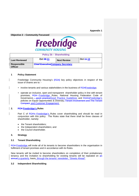#### **Appendix 1**

**Objective 2 – Community Focussed** 



| Policy 2b – Shareholding             |                                          |                    |           |  |  |  |
|--------------------------------------|------------------------------------------|--------------------|-----------|--|--|--|
| <b>Last Reviewed</b>                 | Oct <b>09-11</b>                         | <b>Next Review</b> | Oct 44-13 |  |  |  |
| <b>Responsible</b><br><b>Officer</b> | <b>Chief Executive Company Secretary</b> |                    |           |  |  |  |

#### **1 Policy Statement**

- Freebridge Community Housing's (FCH) key policy objectives in respect of the issue of shares are to: -
	- involve tenants and various stakeholders in the business of **FCHFreebridge**;
		- operate an inclusive, open and transparent shareholder policy in line with tenant promises, FCH Freebridge Rules, National Housing Federation Code of Governance - good practiceGood Practice Guidelines and FCH'sFreebridge's policies on Equal Opportunities & Diversity, Tenant Involvement and The Tenant Compact. and Customer Engagement.

#### **2. FCH Freebridge's Rules**

Part C of FCH's Freebridge's Rules cover shareholding and should be read in conjunction with this policy. The Rules state that there shall be three classes of shareholder, namely:

- the Tenant shareholders;
- the Independent shareholders; and
- the Council shareholder.

#### **3. Strategy**

#### **3.1 Tenant Shareholding**

**FCH Freebridge will invite all of its tenants to become shareholders in the organisation in** fulfilment of tenant promises and in accordance with its Rules.

New tenants will be invited to become shareholders on completion of their probationary tenancy and the invitation to shareholding for existing tenants will be repeated on an annual a quarterly -basis, through the tenants' newsletter, "Streets Ahead".

#### **3.2 Independent Shareholding**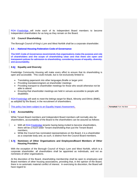FCH Freebridge will invite each of its Independent Board members to become Independent shareholders for as long as they remain on the Board.

#### **3.3 Council Shareholding**

The Borough Council of King's Lynn and West Norfolk shall be a corporate shareholder.

#### **3.4 National Housing Federation Code of Governance**

The NHF Code of Governance recommends that organisations make the purpose and role of shareholders and the scope of shareholding clear and that there are open and transparent polices for admission to shareholding, considering issues of equality, diversity, and accountability.

#### **3.54 Equality and Diversity**

Freebridge Community Housing will make every effort to ensure that its shareholding is open and accessible. This could include, but is not exclusively limited to:

- Translating paperwork into other languages,Braille or larger print
- Providing translators/signers at shareholder meetings
- Providing transport to shareholder meetings for those who would otherwise not be able to attend
- Ensuring that shareholder meetings are held in venues accessible to people with disabilities

**FCH Freebridge will seek to meet the lettings target for Black, Minority and Ethnic (BME),** as adopted by the Board, in the recruitment of shareholders.

This policy has been subject to an Equality Impact Assessment.

#### **3.65 Accountability**

While Tenant Board members and Independent Board members will normally also be shareholders, accountability of the Board to the shareholders can be assured as follows:

- With all FCH Freebridge tenants having being invited to become shareholders, there will be a much wider Tenant shareholding than just the Tenant Board members;
	- While the Council has nominated representatives on the Board, it is a shareholder as a corporate body and, as such, is distinct from the Council Board members.

#### **3.76 Nominees of Other Organisations and Employees/Board Members of Other Housing Providers**

With the exception of the Borough Council of King's Lynn and West Norfolk, which is a corporate shareholder, all shareholders shall be appointed as individuals, and not as nominees of other organisations.

At the discretion of the Board, shareholding membership shall be open to employees and Board members of other housing associations, providing that, in the opinion of the Board, there is no automatic material conflict of interest. In exercising its discretion, the Board will have regard to:

**Formatted:** Font: Not Bold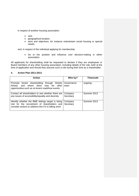in respect of another housing association:

- size;
- geographical location;
- aims and objectives, for instance mainstream social housing or special needs;

and, in respect of the individual applying for membership:

• his or her position and influence over decision-making in either association.

All applicants for shareholding shall be requested to declare if they are employees or Board members of any other housing association, including details of the role, both at the time of application and should they assume such a role during their time as a shareholder.

#### **4. Action Plan 2011-2013**

| <b>Action</b>                                                                                                                                               | Who by?              | Timescale   |
|-------------------------------------------------------------------------------------------------------------------------------------------------------------|----------------------|-------------|
| Promote tenant shareholding<br>through Streets<br>and where there<br>Ahead.<br>be other<br>may<br>opportunities, such as at tenant roadshow events          | Governance<br>team   | ongoing     |
| Contact all shareholders to see whether there are<br>any issues of accessibility/equality and diversity                                                     | Company<br>Secretary | Summer 2013 |
| Identify whether the BME lettings target is being<br>met for the recruitment of shareholders and<br>consider actions to address this if it is falling short | Company<br>Secretary | Summer 2013 |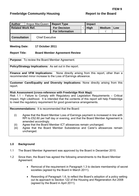# <span id="page-18-0"></span>**Freebridge Community Housing The Report to the Board**

| <b>Author</b>            | Angus MacQueen         | <b>Report Type</b>     |  | Impact |               |     |
|--------------------------|------------------------|------------------------|--|--------|---------------|-----|
| <b>Related Work Ref.</b> |                        | <b>For Decision</b>    |  | High   | <b>Medium</b> | Low |
|                          |                        | <b>For Information</b> |  |        |               |     |
| <b>Consultation</b>      | <b>Chief Executive</b> |                        |  |        |               |     |

#### **Meeting Date: 17 October 2011**

#### **Report Title: Board Member Agreement Review**

**Purpose:** To review the Board Member Agreement.

**Policy/Strategy Implications:** As set out in the report.

**Finance and VFM Implications:** None directly arising from this report, other than a recommended minor increase to the Loss of Earnings allowance.

**Customer Care/Equality and Diversity Implications:** None directly arising from this report.

#### **Risk Assessment (cross-reference with Freebridge Risk Map):**

Risk 1.1 – Failure to Comply with Regulatory and Legislation Requirements – Critical Impact, High Likelihood. It is intended that the contents of this report will help Freebridge to meet the regulatory requirement for good governance arrangements.

**Recommendations:** It is recommended that the Board:

- (i) Agree that the Board Member Loss of Earnings payment is increased in line with RPI to £52.60 per half day or evening, and that the Board Member Agreement is amended accordingly.
- (ii) Agree that the Board Member ICT allowances remain unchanged.
- (iii) Agree that the Board Member Subsistence and Carer's allowances remain unchanged.

#### **1.0 Background**

- 1.1 The Board Member Agreement was approved by the Board in December 2010.
- 1.2 Since then, the Board has agreed the following amendments to the Board Member Agreement:
	- Removal of the requirement in Paragraph 1.3 to declare membership of secret societies (agreed by the Board in March 2011).
	- Rewording of Paragraph 1.6, to reflect the Board's adoption of a policy setting out its approach to Section 122 of the Housing and Regeneration Act 2008 (agreed by the Board in April 2011).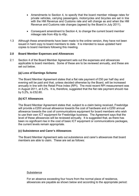- Amendments to Section 4, to specify that the board member mileage rates for private vehicles, carrying passengers, motorcycles and bicycles are set in line with the HM Revenue and Customs rate and will change as and when the HM Revenue and Customs rate changes (agreed by the Board in July 2011).
- Consequent amendment to Section 4, to change the current board member mileage rate from 40p to 45p.
- 1.3 Although these amendments have been made to the online version, they have not been issued in hard copy to board members to date. It is intended to issue updated hard copies to board members following this meeting.

#### **2.0 Board Member Expenses and Allowances**

2.1 Section 4 of the Board Member Agreement sets out the expenses and allowances applicable to board members. Some of these are to be reviewed annually, and these are set out below.

#### **(a) Loss of Earnings Scheme**

The Board Member Agreement states that a flat rate payment of £50 per half day and evening will be paid and that, unless decided otherwise by the Board, will be increased annually in line with the Retail Price Index (RPI). The most recent RPI measurement was in August 2011, at 5.2%. It is, therefore, suggested that the flat rate payment should rise by 5.2%, to £52.60.

#### **(b) ICT Allowances**

The Board Member Agreement states that, subject to a claim being received, Freebridge will provide a £200 annual allowance towards the cost of hardware and a £250 annual allowance towards the cost of communications equipment for board members who wish to use their own ICT equipment for Freebridge business. The Agreement says that the level of these allowances will be reviewed annually. It is suggested that, as there has been no significant rise in the cost of basic ICT equipment or communications packages, the current levels remain appropriate.

#### **(c) Subsistence and Carer's Allowances**

The Board Member Agreement sets out subsistence and carer's allowances that board members are able to claim. These are set as follows:

#### **Subsistence**

For an absence exceeding four hours from the normal place of residence, allowances are payable as shown below and according to the appropriate period: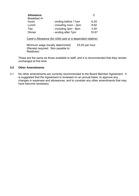| <b>Allowance</b> |                        | £     |
|------------------|------------------------|-------|
| Breakfast 4+     |                        |       |
| hours            | - ending before 11am   | 6.24  |
| Lunch            | - including noon - 2pm | 8.62  |
| Tea              | - including 3pm - 6pm  | 3.40  |
| <b>Dinner</b>    | - ending after 7pm     | 10.67 |

#### Carer's Allowance (for child care or a dependant relative)

Minimum wage (locally determined) £5.93 per hour (Receipt required. Non payable to Relatives)

These are the same as those available to staff, and it is recommended that they remain unchanged at this time.

#### **3.0 Other Amendments**

3.1 No other amendments are currently recommended to the Board Member Agreement. It is suggested that the Agreement is reviewed on an annual basis, to approve any changes in expenses and allowances, and to consider any other amendments that may have become necessary.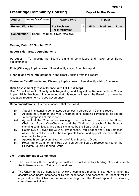# <span id="page-21-0"></span>**Freebridge Community Housing The Report to the Board**

| <b>Author</b>            | Angus MacQueen | <b>Report Type</b>                            | <b>Impact</b> |                     |     |
|--------------------------|----------------|-----------------------------------------------|---------------|---------------------|-----|
| <b>Related Work Ref.</b> |                | <b>For Decision</b><br><b>For Information</b> | <b>High</b>   | <b>Medium</b><br>اد | Low |
| <b>Consultation</b>      |                | Board Chairman, Chief Executive               |               |                     |     |

### **Meeting Date: 17 October 2011**

### **Report Title: Board Appointments**

**Purpose:** To appoint the Board's standing committees and make other Board appointments.

**Policy/Strategy Implications:** None directly arising from this report.

**Finance and VFM Implications:** None directly arising from this report.

**Customer Care/Equality and Diversity Implications:** None directly arising from report.

### **Risk Assessment (cross-reference with FCH Risk Map):**

Risk 1.1 – Failure to Comply with Regulatory and Legislation Requirements – Critical Impact, High Likelihood. It is intended that this report will assist the Board to achieve the regulatory requirement of good governance.

**Recommendations:** It is recommended that the Board:

- (i) Appoint its standing committees as set out in paragraph 1.2 of this report.
- (ii) Appoint the Chairmen and Vice-Chairmen of its standing committees, as set out in paragraph 2.1 of this report.
- (iii) Agree that the Governance Working Group continue to comprise the Board Chairman, Board Vice-Chairman and the Chairmen of each of the Board's standing committees, and that it is chaired by the Board Chairman.
- (iv) Retain Sylvia Calver, Bill Guyan, Ray Johnson, Paul Leader and Colin Sampson as members of the pool for the Complaints Panel, and appoint one more Board member to the pool.
- (v) Appoint three representatives to the  $e^2$  Joint Members Group.
- (vi) Retain Irene Gammon and Ray Johnson as the Board's representatives on the Hillington Square Steering Group.

### **1.0 Appointment of Committees**

- 1.1 The Board has three standing committees, established by Standing Order 4, namely Audit, Resources and Risk, and Operations.
- 1.2 The Chairman has undertaken a review of committee memberships. Having taken into account each board member's skills and experience, and assessed the "best fit" for the organisation, the Chairman is recommending that the Board appoint its standing committees as follows: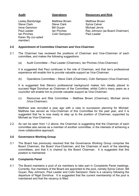Lesley Bambridge Matthew Brown Matthew Brown Steve Clark Steve Clark Sylvia Calver Irene Gammon Bill Guyan Michael Jervis Ian Pinches Colin Sampson Paul Leader Karen Sly (co-opted member)

#### **Audit Operations Resources and Risk**

Paul Leader **Ian Pinches** Ray Johnson (as Board Chairman)

#### **2.0 Appointment of Committee Chairmen and Vice-Chairmen**

- 2.1 The Chairman has reviewed the positions of Chairman and Vice-Chairman of each committee, and makes the following suggestions:
	- (a) Audit Committee Paul Leader (Chairman), Ian Pinches (Vice-Chairman)

 It is suggested that Paul continues in the role of Chairman, and that Ian's professional experience will enable him to provide valuable support as Vice-Chairman.

(b) Operations Committee – Steve Clark (Chairman), Colin Sampson (Vice-Chairman)

 It is suggested that Steve's professional background makes him ideally placed to succeed Nigel Donohue as Chairman of the Committee, whilst Colin's many years as a councillor will enable him to provide valuable support as Vice-Chairman.

(c) Resources and Risk Committee – Matthew Brown (Chairman), Michael Jervis (Vice-Chairman)

Matthew was recruited a year ago with a view to succession planning for Michael. Matthew has served as Vice-Chairman of this Committee for the past year, and it is suggested that he is now ready to step up to the position of Chairman, supported by Michael as Vice-Chairman.

2.2 As can be seen from 1.2 above, the Chairman is suggesting that the Chairman of each committee also serves as a member of another committee, in the interests of achieving a more collaborative approach.

#### **3.0 Governance Working Group**

3.1 The Board has previously resolved that the Governance Working Group comprise the Board Chairman, the Board Vice-Chairman, and the Chairman of each of the standing committees, and that it is chaired by the Board Chairman. It is suggested that this position is maintained.

#### **4.0 Complaints Panel**

4.1 The Board maintains a pool of six members to take part in Complaints Panel meetings. Currently, five members of the Board are appointed to the pool, namely Sylvia Calver, Bill Guyan, Ray Johnson, Paul Leader and Colin Sampson; there is a vacancy following the departure of Nigel Donohue. It is suggested that the current membership of the pool is maintained and that the vacancy is filled.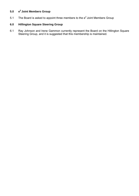# **5.0 e2 Joint Members Group**

5.1 The Board is asked to appoint three members to the  $e^2$  Joint Members Group

# **6.0 Hillington Square Steering Group**

6.1 Ray Johnson and Irene Gammon currently represent the Board on the Hillington Square Steering Group, and it is suggested that this membership is maintained.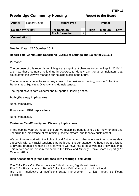# <span id="page-24-0"></span>**Freebridge Community Housing The Report to the Board**

| <b>Author</b>            | <b>Robert Clarke</b> | <b>Report Type</b>     |      | <b>Impact</b> |     |
|--------------------------|----------------------|------------------------|------|---------------|-----|
| <b>Related Work Ref.</b> |                      | <b>For Decision</b>    | High | <b>Medium</b> | Low |
|                          |                      | <b>For Information</b> |      |               |     |
| <b>Consultation</b>      |                      |                        |      |               |     |

### Meeting Date: 17<sup>th</sup> October 2011

### **Report Title: Continuous Recording (CORE) of Lettings and Sales for 2010/11**

#### **Purpose:**

The purpose of this report is to highlight any significant changes to our lettings in 2010/11 and how these compare to lettings in 2009/10, to identify any trends or indicators that could affect the way we manage our housing stock in the future.

The information concentrates on key areas of the business covering, Income Collection, Re-let times, Equality & Diversity and Homelessness.

The report covers both General and Supported Housing needs.

#### **Policy/Strategy Implications:**

None immediately

#### **Finance and VFM Implications:**

None immediately

#### **Customer Care/Equality and Diversity Implications:**

In the coming year we need to ensure we maximise benefit take up for new tenants and underline the importance of maintaining income stream and tenancy sustainment.

We continue to work with the Police, Local Authority and other agencies to ensure we deal effectively with any racial tensions that are brought to our attention. Although we are letting to diverse groups it remains an area where we have had to deal with just a few incidents. This report can be cross-referenced to the Black and Minority Ethnic Board Report (17<sup>th</sup> October 2011)

#### **Risk Assessment (cross-reference with Frebridge Risk Map):**

Risk 2.4 – Poor Void Performance – Critical Impact, Significant Likelihood Risk 2.5 – Poor Income or Benefit Collection – Critical Impact, Low Likelihood Risk 2.8 – Ineffective or Insufficient Estate Improvement – Critical Impact, Significant Likelihood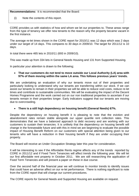**Recommendations:** It is recommended that the Board:

(i) Note the contents of this report.

CORE provides us with statistics of how and whom we let our properties to. These areas range from the type of tenancy we offer new tenants to the reason why the property became vacant in the first instance.

The average re-let times shown in the CORE report for 2010/11 was 12 days which was 2 days under our target of 14 days. This compares to 30 days in 2009/10. The target for 2011/12 is 10 days.

In total there were 465 lets in 2010/11 (693 in 2009/10).

This was made up from 334 lets in General Needs Housing and 131 from Supported Housing.

In particular your attention is drawn to the following;

#### • **That our customers do not tend to move outside our Local Authority (LA) area with 97% of them moving within the same LA area. This follows previous years' trends.**

We are undertaking an evaluation of why our tenants move out of their properties and particularly looking to understand why our tenants are transferring within our stock. If we can assist our tenants to remain in their properties we will be able to reduce void costs, reduce re-let times and contribute to sustainable communities. We will be evaluating the impact of the Decent Homes Programme and the work carried out on our non traditional properties to ascertain if our tenants remain in their properties longer. Early indicators suggest that our tenants are moving due to overcrowding.

#### • **There is a still high dependency on housing benefit (General Needs) 67%.**

Despite the dependency on housing benefit it is pleasing to note that the eviction and abandonment rates remain stable alongside our upper quartile rent collection rates. This demonstrates that we have a balanced approach to debt recovery and are working with our customers to sustain their tenancies. It is unlikely that the dependency on housing benefit will change in the foreseeable future and with this in mind we are beginning to evaluate the possible impact of Housing Benefit Reform on our customers with special attention being given to our tenants who will have a reduction in their housing benefit if they are under occupying their property.

The Board will receive an Under Occupation Strategy later this year for consideration.

It will be interesting to see if the Affordable Rents regime affects any of the trends reported by CORE in 2011/12 and if Fixed Term Tenancies will affect trends the following year. We will let our first affordable rent property in October 2011. We are still researching the application of Fixed Term Tenancies and will present a paper on these in due course.

Over the second half of the financial year we will continue to monitor trends to identify issues that could have an adverse affect on our re-let performance. There is nothing significant to note from the CORE report that will change our current procedures.

The CORE reports for General Needs and Supported Housing are available on request.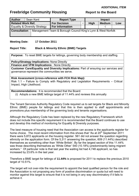# <span id="page-26-0"></span>**Freebridge Community Housing The Report to the Board**

| <b>Author</b>                 |  | Sean Kent | <b>Report Type</b>                                           | <b>Impact</b> |             |               |     |
|-------------------------------|--|-----------|--------------------------------------------------------------|---------------|-------------|---------------|-----|
| <b>Related Work Ref.</b>      |  |           | <b>For Decision</b>                                          |               | <b>High</b> | <b>Medium</b> | Low |
| Equality & Diversity Strategy |  |           | <b>For Information</b>                                       |               |             |               |     |
| <b>Consultation</b>           |  |           | Management Team & Borough Council King's Lynn & West Norfolk |               |             |               |     |

#### **Meeting Date: 17 October 2011**

#### **Report Title: Black & Minority Ethnic (BME) Targets**

**Purpose:** To reset BME targets for lettings, governing body membership and staffing.

**Policy/Strategy Implications:** None Directly

**Finance and VFM Implications:** None Directly

**Customer Care/Equality and Diversity Implications:** Part of ensuring our services and governance represent the communities we serve.

**Risk Assessment (cross-reference with FCH Risk Map):**  Risk 1.1 – Failure to Comply with Regulatory and Legislation Requirements – Critical Impact, High Likelihood.

**Recommendations:** It is recommended that the Board:

(i) Adopts a new BME lettings target of 11.44% and reviews this annually

The Tenant Services Authority Regulatory Code required us to set targets for Black and Minority Ethnic (BME) people for lettings and that this is then applied to staff appointments and promotions plus membership of the governing body and tenants organisations.

Although the Regulatory Code has been replaced by the new Regulatory Framework which does not include this specific requirement it is recommended that the Board continues to use and develop this method of monitoring for Equality & Diversity purposes.

The best measure of housing need that the Association can access is the applicants register for home choice. The most recent information from this shows that "As at 20<sup>th</sup> September 2011 there were 5,872 applicants on the housing register. 561 did not answer the question regarding ethnicity on the application form. Of the 5,311 answering the question, 609 (11.44%) described themselves as something other than 'White British'. By far the largest section of this 11.44% was those describing themselves as 'White Other' 540 (10.18%) predominantly being migrant workers." Of particular note is that last year the waiting list had 4,748 applicant, so has increased by 23.6% in the last year.

Therefore a BME target for lettings of **11.44%** is proposed for 2011 to replace the previous 2010 target of 10.51%.

The target will not over-ride the requirement to appoint the best qualified person for the role and the Association is not proposing any form of positive discrimination or quota but will need to monitor against this target to ensure that it is not being in any way discriminatory if it fails to achieve it.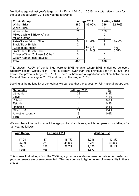Monitoring against last year's target of 11.44% and 2010 of 10.51%, our total lettings data for the year ended March 2011 showed the following:-

| <b>Ethnic Group</b>               |                | Lettings 2011 |     | Lettings 2010 |  |
|-----------------------------------|----------------|---------------|-----|---------------|--|
| White: British                    | 386            | 83.00%        | 526 | 82.70%        |  |
| White: Irish                      | 2              |               | 3   |               |  |
| White: Other                      | 71             |               | 100 |               |  |
| Mixed: White & Black African      |                |               |     |               |  |
| Mixed: Other                      | 3              |               | ი   |               |  |
| Asian/Asian British: Other        | 0              | 17.00%        |     | 17.30%        |  |
| <b>Black/Black British:</b>       | $\overline{2}$ |               |     |               |  |
| (Caribbean/African)               |                | Target        |     | Target        |  |
| <b>Black/Black British: Other</b> | $\Omega$       | 11.44%        | 5   | 10.51%        |  |
| Chinese/Other: (Chinese & Other)  | O              |               | O   |               |  |
| Gypsy/Roman/Irish Traveller       | O              |               |     |               |  |
| Total                             | 465            |               | 636 |               |  |

This shows 17.00% of our lettings were to BME tenants, where BME is defined as every category except White:British. This is slightly lower than the previous year at 17.30% and above the previous target of 8.15%. There is however a significant variation between our General Needs Lettings at 20.7% and Support Housing at 7.6%.

Looking at the nationality of our lettings we can see that the largest non-UK national groups are:

| <b>Nationality</b> | Lettings 2011 | $\frac{0}{2}$ |
|--------------------|---------------|---------------|
| Lithuania          | 32            | 6.9%          |
| Latvia             | 19            | 4.1%          |
| Poland             | 3             | 0.6%          |
| Estonia            |               | 0.2%          |
| Romania            |               | 0.4%          |
| Other EEA          | 11            | 2.4%          |
| Any other country  |               | 0.6%          |
| <b>Total</b>       | 71            |               |

We also have information about the age profile of applicants, which compare to our lettings for last year as follows:-

| Age Range | <b>Lettings 2011</b> |       |       | <b>Waiting List</b> |  |  |
|-----------|----------------------|-------|-------|---------------------|--|--|
| $17 - 24$ | 87                   | 18.7% | 1,016 | 17.3%               |  |  |
| 25-59     | 226                  | 48.6% | 3,736 | 63.6%               |  |  |
| $60 +$    | 152                  | 32.7% | 1,120 | 19.1%               |  |  |
| Total     | 465                  |       | 5,872 |                     |  |  |

This shows that lettings from the 25-59 age group are under-represented while both older and younger tenants are over-represented. This may be due to lighter levels of vulnerability in these groups.